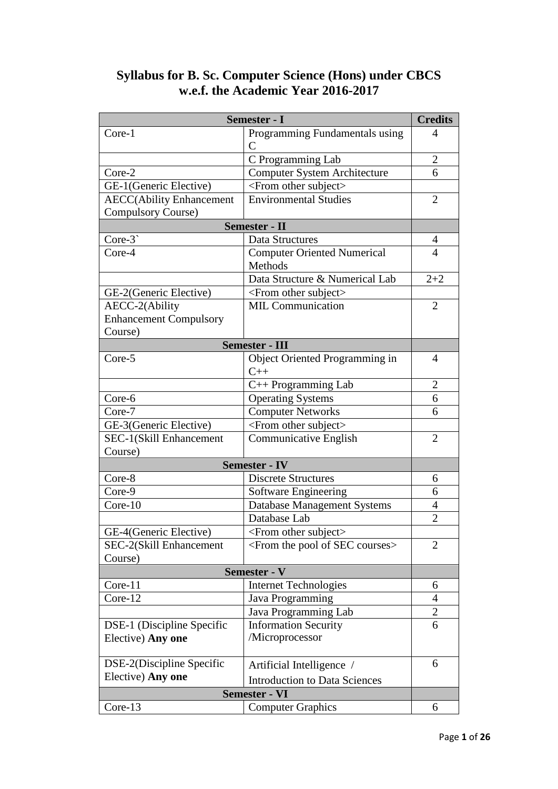| Semester - I                     |                                                      | <b>Credits</b> |
|----------------------------------|------------------------------------------------------|----------------|
| Core-1                           | Programming Fundamentals using<br>$\mathsf{C}$       | 4              |
|                                  | C Programming Lab                                    | $\overline{2}$ |
| Core-2                           | <b>Computer System Architecture</b>                  | 6              |
| GE-1(Generic Elective)           | <from other="" subject=""></from>                    |                |
| <b>AECC</b> (Ability Enhancement | <b>Environmental Studies</b>                         | $\overline{2}$ |
| <b>Compulsory Course)</b>        |                                                      |                |
| <b>Semester - II</b>             |                                                      |                |
| $Core-3$                         | Data Structures                                      | $\overline{4}$ |
| Core-4                           | <b>Computer Oriented Numerical</b>                   | 4              |
|                                  | Methods                                              |                |
|                                  | Data Structure & Numerical Lab                       | $2 + 2$        |
| GE-2(Generic Elective)           | <from other="" subject=""></from>                    |                |
| AECC-2(Ability                   | <b>MIL Communication</b>                             | $\overline{2}$ |
| <b>Enhancement Compulsory</b>    |                                                      |                |
| Course)                          |                                                      |                |
| Semester - III                   |                                                      |                |
| Core-5                           | Object Oriented Programming in<br>$C++$              | $\overline{4}$ |
|                                  | $C++$ Programming Lab                                | $\overline{2}$ |
| Core-6                           | <b>Operating Systems</b>                             | 6              |
| Core-7                           | <b>Computer Networks</b>                             | 6              |
| GE-3(Generic Elective)           | <from other="" subject=""></from>                    |                |
| SEC-1(Skill Enhancement          | Communicative English                                | $\overline{2}$ |
| Course)                          |                                                      |                |
| <b>Semester - IV</b>             |                                                      |                |
| Core-8                           | <b>Discrete Structures</b>                           | 6              |
| Core-9                           | Software Engineering                                 | 6              |
| Core-10                          | Database Management Systems                          | 4              |
|                                  | Database Lab                                         | $\overline{2}$ |
| GE-4(Generic Elective)           | <from other="" subject=""></from>                    |                |
| SEC-2(Skill Enhancement          | <from courses="" of="" pool="" sec="" the=""></from> | $\overline{2}$ |
| Course)                          |                                                      |                |
| Semester - V                     |                                                      |                |
| Core-11                          | <b>Internet Technologies</b>                         | 6              |
| Core-12                          | Java Programming                                     | 4              |
|                                  | Java Programming Lab                                 | $\overline{2}$ |
| DSE-1 (Discipline Specific       | <b>Information Security</b>                          | 6              |
| Elective) Any one                | /Microprocessor                                      |                |
| DSE-2(Discipline Specific        | Artificial Intelligence /                            | 6              |
| Elective) Any one                | <b>Introduction to Data Sciences</b>                 |                |
|                                  | <b>Semester - VI</b>                                 |                |
| Core-13                          | <b>Computer Graphics</b>                             | 6              |

# **Syllabus for B. Sc. Computer Science (Hons) under CBCS w.e.f. the Academic Year 2016-2017**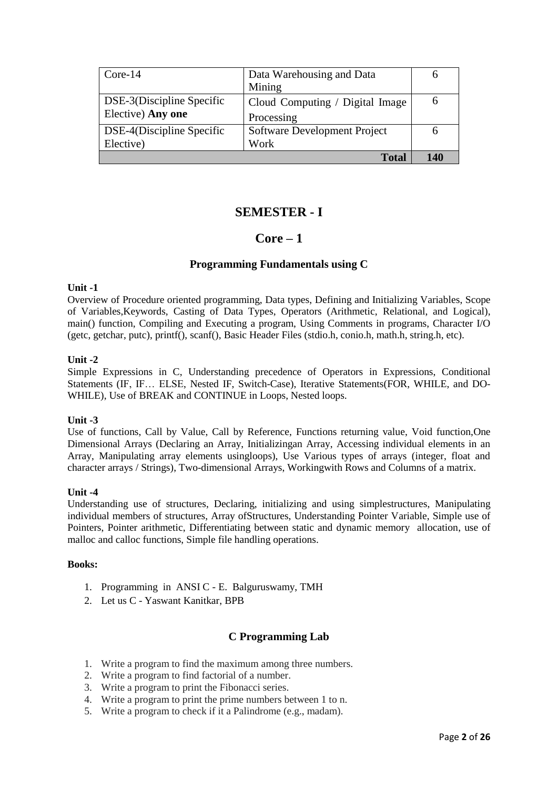| $Core-14$                 | Data Warehousing and Data       |     |
|---------------------------|---------------------------------|-----|
|                           | Mining                          |     |
| DSE-3(Discipline Specific | Cloud Computing / Digital Image | O   |
| Elective) Any one         | Processing                      |     |
| DSE-4(Discipline Specific | Software Development Project    |     |
| Elective)                 | Work                            |     |
|                           | <b>Total</b>                    | 140 |

# **SEMESTER - I**

# **Core – 1**

## **Programming Fundamentals using C**

#### **Unit -1**

Overview of Procedure oriented programming, Data types, Defining and Initializing Variables, Scope of Variables,Keywords, Casting of Data Types, Operators (Arithmetic, Relational, and Logical), main() function, Compiling and Executing a program, Using Comments in programs, Character I/O (getc, getchar, putc), printf(), scanf(), Basic Header Files (stdio.h, conio.h, math.h, string.h, etc).

### **Unit -2**

Simple Expressions in C, Understanding precedence of Operators in Expressions, Conditional Statements (IF, IF… ELSE, Nested IF, Switch-Case), Iterative Statements(FOR, WHILE, and DO-WHILE), Use of BREAK and CONTINUE in Loops, Nested loops.

### **Unit -3**

Use of functions, Call by Value, Call by Reference, Functions returning value, Void function,One Dimensional Arrays (Declaring an Array, Initializingan Array, Accessing individual elements in an Array, Manipulating array elements usingloops), Use Various types of arrays (integer, float and character arrays / Strings), Two-dimensional Arrays, Workingwith Rows and Columns of a matrix.

### **Unit -4**

Understanding use of structures, Declaring, initializing and using simplestructures, Manipulating individual members of structures, Array ofStructures, Understanding Pointer Variable, Simple use of Pointers, Pointer arithmetic, Differentiating between static and dynamic memory allocation, use of malloc and calloc functions, Simple file handling operations.

#### **Books:**

- 1. Programming in ANSI C E. Balguruswamy, TMH
- 2. Let us C Yaswant Kanitkar, BPB

# **C Programming Lab**

- 1. Write a program to find the maximum among three numbers.
- 2. Write a program to find factorial of a number.
- 3. Write a program to print the Fibonacci series.
- 4. Write a program to print the prime numbers between 1 to n.
- 5. Write a program to check if it a Palindrome (e.g., madam).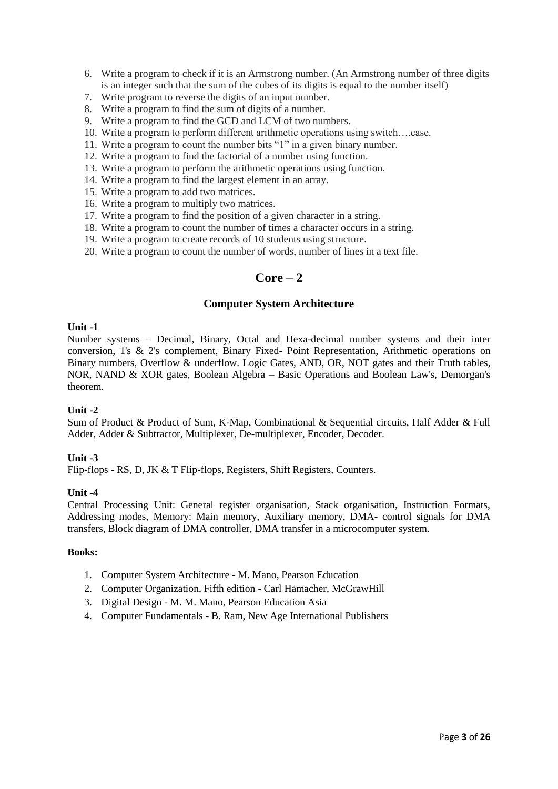- 6. Write a program to check if it is an Armstrong number. (An Armstrong number of three digits is an integer such that the sum of the cubes of its digits is equal to the number itself)
- 7. Write program to reverse the digits of an input number.
- 8. Write a program to find the sum of digits of a number.
- 9. Write a program to find the GCD and LCM of two numbers.
- 10. Write a program to perform different arithmetic operations using switch….case.
- 11. Write a program to count the number bits "1" in a given binary number.
- 12. Write a program to find the factorial of a number using function.
- 13. Write a program to perform the arithmetic operations using function.
- 14. Write a program to find the largest element in an array.
- 15. Write a program to add two matrices.
- 16. Write a program to multiply two matrices.
- 17. Write a program to find the position of a given character in a string.
- 18. Write a program to count the number of times a character occurs in a string.
- 19. Write a program to create records of 10 students using structure.
- 20. Write a program to count the number of words, number of lines in a text file.

# **Core – 2**

### **Computer System Architecture**

#### **Unit -1**

Number systems – Decimal, Binary, Octal and Hexa-decimal number systems and their inter conversion, 1's & 2's complement, Binary Fixed- Point Representation, Arithmetic operations on Binary numbers, Overflow & underflow. Logic Gates, AND, OR, NOT gates and their Truth tables, NOR, NAND & XOR gates, Boolean Algebra – Basic Operations and Boolean Law's, Demorgan's theorem.

### **Unit -2**

Sum of Product & Product of Sum, K-Map, Combinational & Sequential circuits, Half Adder & Full Adder, Adder & Subtractor, Multiplexer, De-multiplexer, Encoder, Decoder.

### **Unit -3**

Flip-flops - RS, D, JK & T Flip-flops, Registers, Shift Registers, Counters.

### **Unit -4**

Central Processing Unit: General register organisation, Stack organisation, Instruction Formats, Addressing modes, Memory: Main memory, Auxiliary memory, DMA- control signals for DMA transfers, Block diagram of DMA controller, DMA transfer in a microcomputer system.

- 1. Computer System Architecture M. Mano, Pearson Education
- 2. Computer Organization, Fifth edition Carl Hamacher, McGrawHill
- 3. Digital Design M. M. Mano, Pearson Education Asia
- 4. Computer Fundamentals B. Ram, New Age International Publishers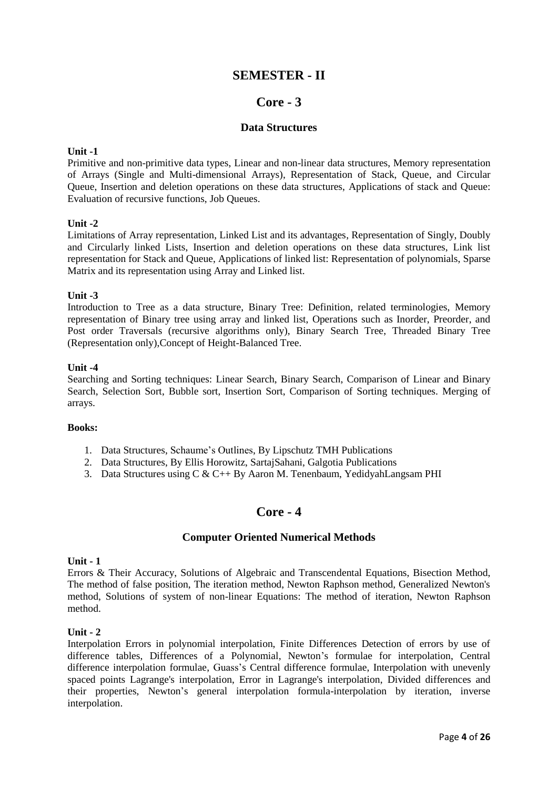# **SEMESTER - II**

# **Core - 3**

## **Data Structures**

### **Unit -1**

Primitive and non-primitive data types, Linear and non-linear data structures, Memory representation of Arrays (Single and Multi-dimensional Arrays), Representation of Stack, Queue, and Circular Queue, Insertion and deletion operations on these data structures, Applications of stack and Queue: Evaluation of recursive functions, Job Queues.

### **Unit -2**

Limitations of Array representation, Linked List and its advantages, Representation of Singly, Doubly and Circularly linked Lists, Insertion and deletion operations on these data structures, Link list representation for Stack and Queue, Applications of linked list: Representation of polynomials, Sparse Matrix and its representation using Array and Linked list.

#### **Unit -3**

Introduction to Tree as a data structure, Binary Tree: Definition, related terminologies, Memory representation of Binary tree using array and linked list, Operations such as Inorder, Preorder, and Post order Traversals (recursive algorithms only), Binary Search Tree, Threaded Binary Tree (Representation only),Concept of Height-Balanced Tree.

#### **Unit -4**

Searching and Sorting techniques: Linear Search, Binary Search, Comparison of Linear and Binary Search, Selection Sort, Bubble sort, Insertion Sort, Comparison of Sorting techniques. Merging of arrays.

#### **Books:**

- 1. Data Structures, Schaume's Outlines, By Lipschutz TMH Publications
- 2. Data Structures, By Ellis Horowitz, SartajSahani, Galgotia Publications
- 3. Data Structures using C & C++ By Aaron M. Tenenbaum, YedidyahLangsam PHI

# **Core - 4**

### **Computer Oriented Numerical Methods**

#### **Unit - 1**

Errors & Their Accuracy, Solutions of Algebraic and Transcendental Equations, Bisection Method, The method of false position, The iteration method, Newton Raphson method, Generalized Newton's method, Solutions of system of non-linear Equations: The method of iteration, Newton Raphson method.

#### **Unit - 2**

Interpolation Errors in polynomial interpolation, Finite Differences Detection of errors by use of difference tables, Differences of a Polynomial, Newton's formulae for interpolation, Central difference interpolation formulae, Guass's Central difference formulae, Interpolation with unevenly spaced points Lagrange's interpolation, Error in Lagrange's interpolation, Divided differences and their properties, Newton's general interpolation formula-interpolation by iteration, inverse interpolation.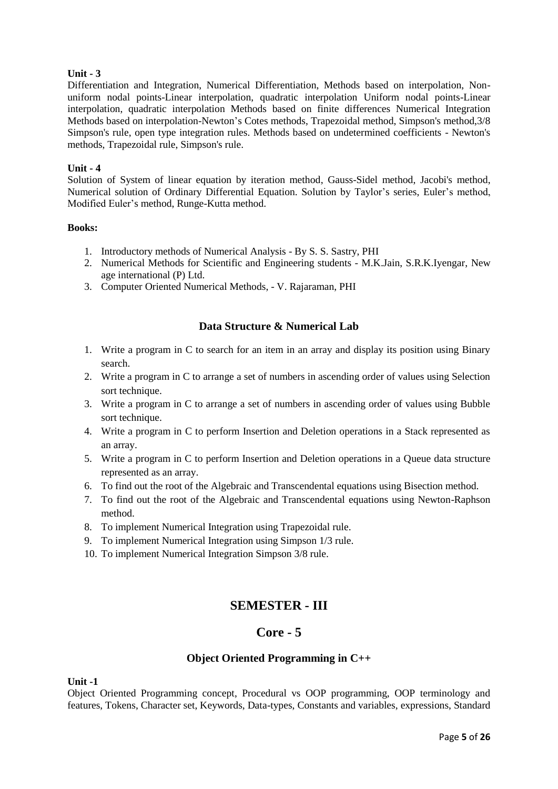Differentiation and Integration, Numerical Differentiation, Methods based on interpolation, Nonuniform nodal points-Linear interpolation, quadratic interpolation Uniform nodal points-Linear interpolation, quadratic interpolation Methods based on finite differences Numerical Integration Methods based on interpolation-Newton's Cotes methods, Trapezoidal method, Simpson's method,3/8 Simpson's rule, open type integration rules. Methods based on undetermined coefficients - Newton's methods, Trapezoidal rule, Simpson's rule.

### **Unit - 4**

Solution of System of linear equation by iteration method, Gauss-Sidel method, Jacobi's method, Numerical solution of Ordinary Differential Equation. Solution by Taylor's series, Euler's method, Modified Euler's method, Runge-Kutta method.

### **Books:**

- 1. Introductory methods of Numerical Analysis By S. S. Sastry, PHI
- 2. Numerical Methods for Scientific and Engineering students M.K.Jain, S.R.K.Iyengar, New age international (P) Ltd.
- 3. Computer Oriented Numerical Methods, V. Rajaraman, PHI

## **Data Structure & Numerical Lab**

- 1. Write a program in C to search for an item in an array and display its position using Binary search.
- 2. Write a program in C to arrange a set of numbers in ascending order of values using Selection sort technique.
- 3. Write a program in C to arrange a set of numbers in ascending order of values using Bubble sort technique.
- 4. Write a program in C to perform Insertion and Deletion operations in a Stack represented as an array.
- 5. Write a program in C to perform Insertion and Deletion operations in a Queue data structure represented as an array.
- 6. To find out the root of the Algebraic and Transcendental equations using Bisection method.
- 7. To find out the root of the Algebraic and Transcendental equations using Newton-Raphson method.
- 8. To implement Numerical Integration using Trapezoidal rule.
- 9. To implement Numerical Integration using Simpson 1/3 rule.
- 10. To implement Numerical Integration Simpson 3/8 rule.

# **SEMESTER - III**

# **Core - 5**

### **Object Oriented Programming in C++**

**Unit -1**

Object Oriented Programming concept, Procedural vs OOP programming, OOP terminology and features, Tokens, Character set, Keywords, Data-types, Constants and variables, expressions, Standard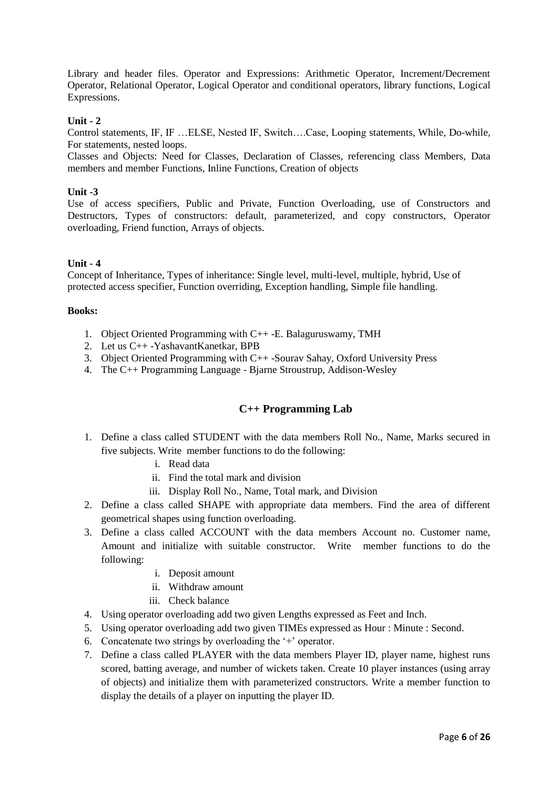Library and header files. Operator and Expressions: Arithmetic Operator, Increment/Decrement Operator, Relational Operator, Logical Operator and conditional operators, library functions, Logical Expressions.

## **Unit - 2**

Control statements, IF, IF …ELSE, Nested IF, Switch….Case, Looping statements, While, Do-while, For statements, nested loops.

Classes and Objects: Need for Classes, Declaration of Classes, referencing class Members, Data members and member Functions, Inline Functions, Creation of objects

### **Unit -3**

Use of access specifiers, Public and Private, Function Overloading, use of Constructors and Destructors, Types of constructors: default, parameterized, and copy constructors, Operator overloading, Friend function, Arrays of objects.

### **Unit - 4**

Concept of Inheritance, Types of inheritance: Single level, multi-level, multiple, hybrid, Use of protected access specifier, Function overriding, Exception handling, Simple file handling.

#### **Books:**

- 1. Object Oriented Programming with C++ -E. Balaguruswamy, TMH
- 2. Let us C++ -YashavantKanetkar, BPB
- 3. Object Oriented Programming with C++ -Sourav Sahay, Oxford University Press
- 4. The C++ Programming Language Bjarne Stroustrup, Addison-Wesley

### **C++ Programming Lab**

- 1. Define a class called STUDENT with the data members Roll No., Name, Marks secured in five subjects. Write member functions to do the following:
	- i. Read data
	- ii. Find the total mark and division
	- iii. Display Roll No., Name, Total mark, and Division
- 2. Define a class called SHAPE with appropriate data members. Find the area of different geometrical shapes using function overloading.
- 3. Define a class called ACCOUNT with the data members Account no. Customer name, Amount and initialize with suitable constructor. Write member functions to do the following:
	- i. Deposit amount
	- ii. Withdraw amount
	- iii. Check balance
- 4. Using operator overloading add two given Lengths expressed as Feet and Inch.
- 5. Using operator overloading add two given TIMEs expressed as Hour : Minute : Second.
- 6. Concatenate two strings by overloading the '+' operator.
- 7. Define a class called PLAYER with the data members Player ID, player name, highest runs scored, batting average, and number of wickets taken. Create 10 player instances (using array of objects) and initialize them with parameterized constructors. Write a member function to display the details of a player on inputting the player ID.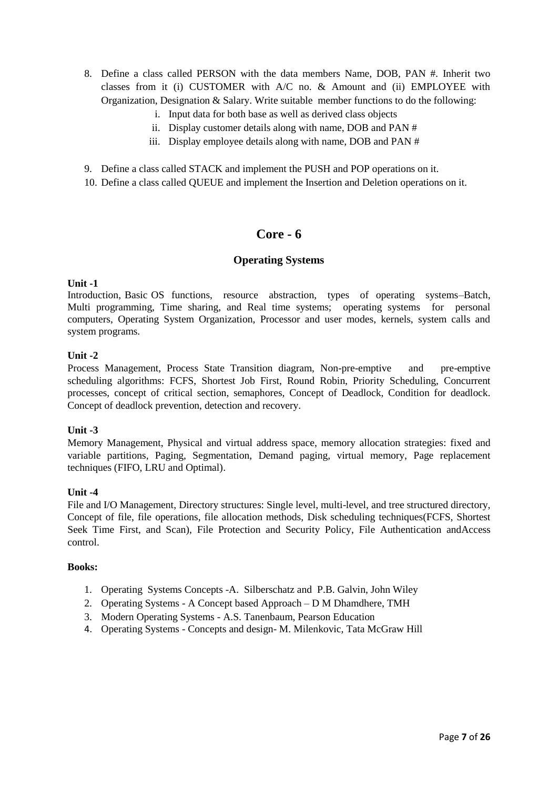- 8. Define a class called PERSON with the data members Name, DOB, PAN #. Inherit two classes from it (i) CUSTOMER with A/C no. & Amount and (ii) EMPLOYEE with Organization, Designation & Salary. Write suitable member functions to do the following:
	- i. Input data for both base as well as derived class objects
	- ii. Display customer details along with name, DOB and PAN #
	- iii. Display employee details along with name, DOB and PAN #
- 9. Define a class called STACK and implement the PUSH and POP operations on it.
- 10. Define a class called QUEUE and implement the Insertion and Deletion operations on it.

# **Core - 6**

### **Operating Systems**

## **Unit -1**

Introduction, Basic OS functions, resource abstraction, types of operating systems–Batch, Multi programming, Time sharing, and Real time systems; operating systems for personal computers, Operating System Organization, Processor and user modes, kernels, system calls and system programs.

### **Unit -2**

Process Management, Process State Transition diagram, Non-pre-emptive and pre-emptive scheduling algorithms: FCFS, Shortest Job First, Round Robin, Priority Scheduling, Concurrent processes, concept of critical section, semaphores, Concept of Deadlock, Condition for deadlock. Concept of deadlock prevention, detection and recovery.

### **Unit -3**

Memory Management, Physical and virtual address space, memory allocation strategies: fixed and variable partitions, Paging, Segmentation, Demand paging, virtual memory, Page replacement techniques (FIFO, LRU and Optimal).

### **Unit -4**

File and I/O Management, Directory structures: Single level, multi-level, and tree structured directory, Concept of file, file operations, file allocation methods, Disk scheduling techniques(FCFS, Shortest Seek Time First, and Scan), File Protection and Security Policy, File Authentication andAccess control.

- 1. Operating Systems Concepts -A. Silberschatz and P.B. Galvin, John Wiley
- 2. Operating Systems A Concept based Approach D M Dhamdhere, TMH
- 3. Modern Operating Systems A.S. Tanenbaum, Pearson Education
- 4. Operating Systems Concepts and design- M. Milenkovic, Tata McGraw Hill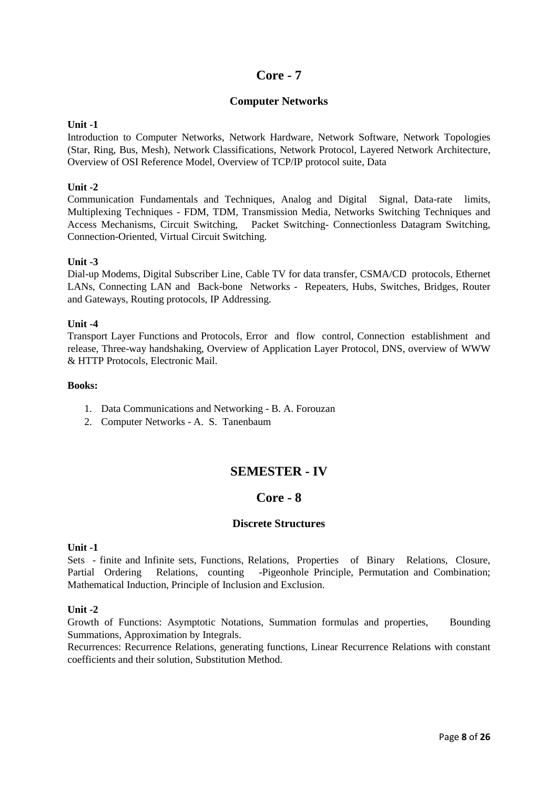# **Core - 7**

## **Computer Networks**

## **Unit -1**

Introduction to Computer Networks, Network Hardware, Network Software, Network Topologies (Star, Ring, Bus, Mesh), Network Classifications, Network Protocol, Layered Network Architecture, Overview of OSI Reference Model, Overview of TCP/IP protocol suite, Data

## **Unit -2**

Communication Fundamentals and Techniques, Analog and Digital Signal, Data-rate limits, Multiplexing Techniques - FDM, TDM, Transmission Media, Networks Switching Techniques and Access Mechanisms, Circuit Switching, Packet Switching- Connectionless Datagram Switching, Connection-Oriented, Virtual Circuit Switching.

## **Unit -3**

Dial-up Modems, Digital Subscriber Line, Cable TV for data transfer, CSMA/CD protocols, Ethernet LANs, Connecting LAN and Back-bone Networks - Repeaters, Hubs, Switches, Bridges, Router and Gateways, Routing protocols, IP Addressing.

## **Unit -4**

Transport Layer Functions and Protocols, Error and flow control, Connection establishment and release, Three-way handshaking, Overview of Application Layer Protocol, DNS, overview of WWW & HTTP Protocols, Electronic Mail.

### **Books:**

- 1. Data Communications and Networking B. A. Forouzan
- 2. Computer Networks A. S. Tanenbaum

# **SEMESTER - IV**

# **Core - 8**

## **Discrete Structures**

### **Unit -1**

Sets - finite and Infinite sets, Functions, Relations, Properties of Binary Relations, Closure, Partial Ordering Relations, counting -Pigeonhole Principle, Permutation and Combination; Mathematical Induction, Principle of Inclusion and Exclusion.

### **Unit -2**

Growth of Functions: Asymptotic Notations, Summation formulas and properties, Bounding Summations, Approximation by Integrals.

Recurrences: Recurrence Relations, generating functions, Linear Recurrence Relations with constant coefficients and their solution, Substitution Method.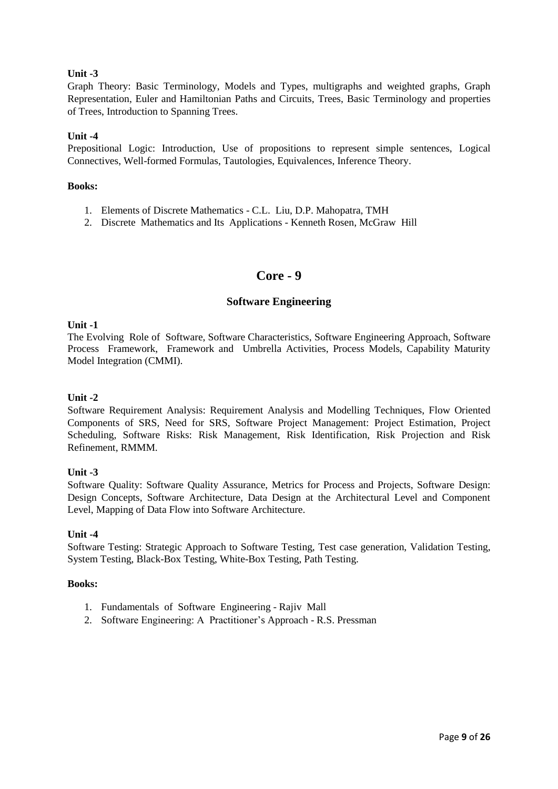Graph Theory: Basic Terminology, Models and Types, multigraphs and weighted graphs, Graph Representation, Euler and Hamiltonian Paths and Circuits, Trees, Basic Terminology and properties of Trees, Introduction to Spanning Trees.

## **Unit -4**

Prepositional Logic: Introduction, Use of propositions to represent simple sentences, Logical Connectives, Well-formed Formulas, Tautologies, Equivalences, Inference Theory.

#### **Books:**

- 1. Elements of Discrete Mathematics C.L. Liu, D.P. Mahopatra, TMH
- 2. Discrete Mathematics and Its Applications Kenneth Rosen, McGraw Hill

# **Core - 9**

## **Software Engineering**

### **Unit -1**

The Evolving Role of Software, Software Characteristics, Software Engineering Approach, Software Process Framework, Framework and Umbrella Activities, Process Models, Capability Maturity Model Integration (CMMI).

### **Unit -2**

Software Requirement Analysis: Requirement Analysis and Modelling Techniques, Flow Oriented Components of SRS, Need for SRS, Software Project Management: Project Estimation, Project Scheduling, Software Risks: Risk Management, Risk Identification, Risk Projection and Risk Refinement, RMMM.

### **Unit -3**

Software Quality: Software Quality Assurance, Metrics for Process and Projects, Software Design: Design Concepts, Software Architecture, Data Design at the Architectural Level and Component Level, Mapping of Data Flow into Software Architecture.

### **Unit -4**

Software Testing: Strategic Approach to Software Testing, Test case generation, Validation Testing, System Testing, Black-Box Testing, White-Box Testing, Path Testing.

- 1. Fundamentals of Software Engineering Rajiv Mall
- 2. Software Engineering: A Practitioner's Approach R.S. Pressman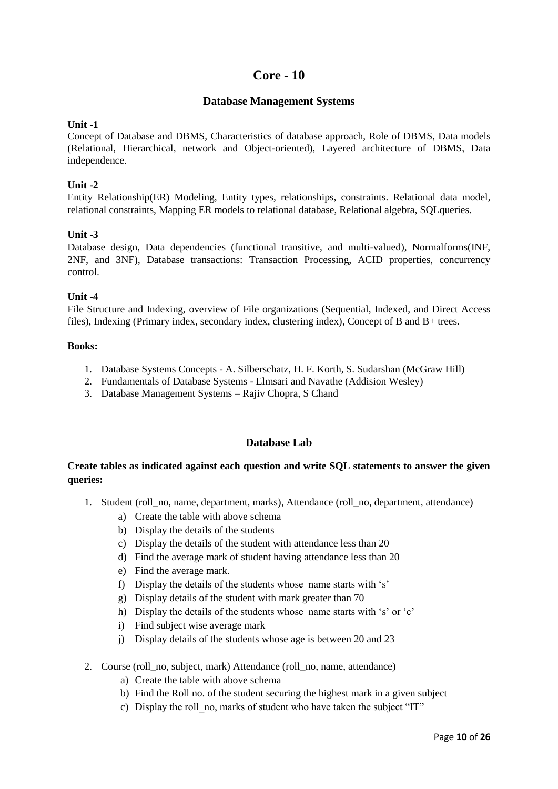# **Core - 10**

## **Database Management Systems**

### **Unit -1**

Concept of Database and DBMS, Characteristics of database approach, Role of DBMS, Data models (Relational, Hierarchical, network and Object-oriented), Layered architecture of DBMS, Data independence.

## **Unit -2**

Entity Relationship(ER) Modeling, Entity types, relationships, constraints. Relational data model, relational constraints, Mapping ER models to relational database, Relational algebra, SQLqueries.

## **Unit -3**

Database design, Data dependencies (functional transitive, and multi-valued), Normalforms(INF, 2NF, and 3NF), Database transactions: Transaction Processing, ACID properties, concurrency control.

## **Unit -4**

File Structure and Indexing, overview of File organizations (Sequential, Indexed, and Direct Access files), Indexing (Primary index, secondary index, clustering index), Concept of B and B+ trees.

### **Books:**

- 1. Database Systems Concepts A. Silberschatz, H. F. Korth, S. Sudarshan (McGraw Hill)
- 2. Fundamentals of Database Systems Elmsari and Navathe (Addision Wesley)
- 3. Database Management Systems Rajiv Chopra, S Chand

## **Database Lab**

## **Create tables as indicated against each question and write SQL statements to answer the given queries:**

- 1. Student (roll\_no, name, department, marks), Attendance (roll\_no, department, attendance)
	- a) Create the table with above schema
	- b) Display the details of the students
	- c) Display the details of the student with attendance less than 20
	- d) Find the average mark of student having attendance less than 20
	- e) Find the average mark.
	- f) Display the details of the students whose name starts with 's'
	- g) Display details of the student with mark greater than 70
	- h) Display the details of the students whose name starts with 's' or 'c'
	- i) Find subject wise average mark
	- j) Display details of the students whose age is between 20 and 23
- 2. Course (roll\_no, subject, mark) Attendance (roll\_no, name, attendance)
	- a) Create the table with above schema
	- b) Find the Roll no. of the student securing the highest mark in a given subject
	- c) Display the roll\_no, marks of student who have taken the subject "IT"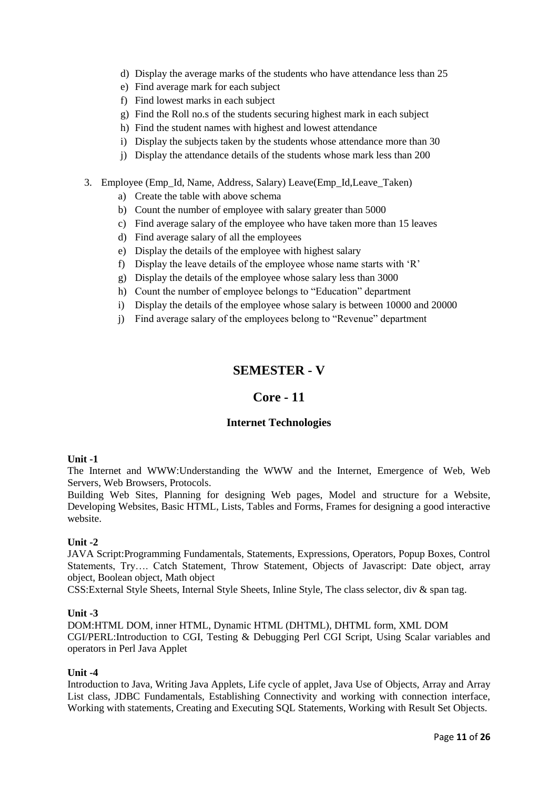- d) Display the average marks of the students who have attendance less than 25
- e) Find average mark for each subject
- f) Find lowest marks in each subject
- g) Find the Roll no.s of the students securing highest mark in each subject
- h) Find the student names with highest and lowest attendance
- i) Display the subjects taken by the students whose attendance more than 30
- j) Display the attendance details of the students whose mark less than 200
- 3. Employee (Emp\_Id, Name, Address, Salary) Leave(Emp\_Id,Leave\_Taken)
	- a) Create the table with above schema
	- b) Count the number of employee with salary greater than 5000
	- c) Find average salary of the employee who have taken more than 15 leaves
	- d) Find average salary of all the employees
	- e) Display the details of the employee with highest salary
	- f) Display the leave details of the employee whose name starts with 'R'
	- g) Display the details of the employee whose salary less than 3000
	- h) Count the number of employee belongs to "Education" department
	- i) Display the details of the employee whose salary is between 10000 and 20000
	- j) Find average salary of the employees belong to "Revenue" department

# **SEMESTER - V**

## **Core - 11**

### **Internet Technologies**

#### **Unit -1**

The Internet and WWW:Understanding the WWW and the Internet, Emergence of Web, Web Servers, Web Browsers, Protocols.

Building Web Sites, Planning for designing Web pages, Model and structure for a Website, Developing Websites, Basic HTML, Lists, Tables and Forms, Frames for designing a good interactive website.

#### **Unit -2**

JAVA Script:Programming Fundamentals, Statements, Expressions, Operators, Popup Boxes, Control Statements, Try…. Catch Statement, Throw Statement, Objects of Javascript: Date object, array object, Boolean object, Math object

CSS:External Style Sheets, Internal Style Sheets, Inline Style, The class selector, div & span tag.

#### **Unit -3**

DOM:HTML DOM, inner HTML, Dynamic HTML (DHTML), DHTML form, XML DOM CGI/PERL:Introduction to CGI, Testing & Debugging Perl CGI Script, Using Scalar variables and operators in Perl Java Applet

#### **Unit -4**

Introduction to Java, Writing Java Applets, Life cycle of applet, Java Use of Objects, Array and Array List class, JDBC Fundamentals, Establishing Connectivity and working with connection interface, Working with statements, Creating and Executing SQL Statements, Working with Result Set Objects.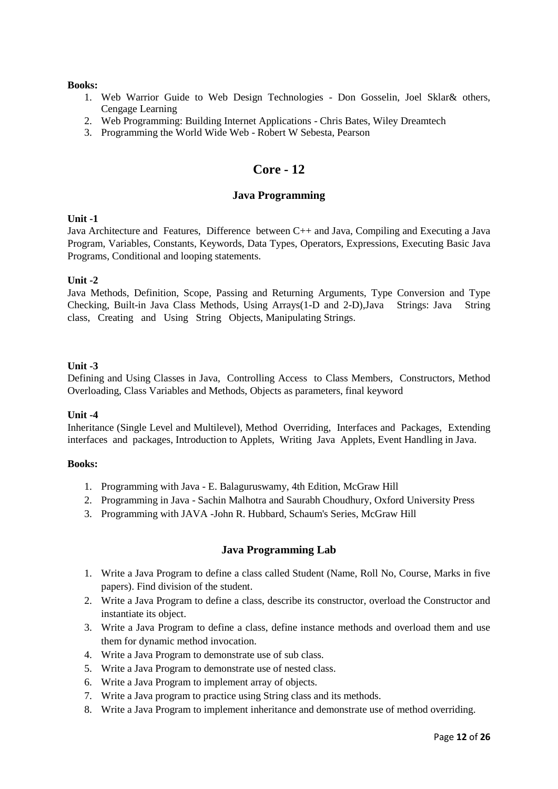### **Books:**

- 1. Web Warrior Guide to Web Design Technologies Don Gosselin, Joel Sklar& others, Cengage Learning
- 2. Web Programming: Building Internet Applications Chris Bates, Wiley Dreamtech
- 3. Programming the World Wide Web Robert W Sebesta, Pearson

# **Core - 12**

## **Java Programming**

## **Unit -1**

Java Architecture and Features, Difference between C++ and Java, Compiling and Executing a Java Program, Variables, Constants, Keywords, Data Types, Operators, Expressions, Executing Basic Java Programs, Conditional and looping statements.

## **Unit -2**

Java Methods, Definition, Scope, Passing and Returning Arguments, Type Conversion and Type Checking, Built-in Java Class Methods, Using Arrays(1-D and 2-D),Java Strings: Java String class, Creating and Using String Objects, Manipulating Strings.

## **Unit -3**

Defining and Using Classes in Java, Controlling Access to Class Members, Constructors, Method Overloading, Class Variables and Methods, Objects as parameters, final keyword

### **Unit -4**

Inheritance (Single Level and Multilevel), Method Overriding, Interfaces and Packages, Extending interfaces and packages, Introduction to Applets, Writing Java Applets, Event Handling in Java.

### **Books:**

- 1. Programming with Java E. Balaguruswamy, 4th Edition, McGraw Hill
- 2. Programming in Java Sachin Malhotra and Saurabh Choudhury, Oxford University Press
- 3. Programming with JAVA -John R. Hubbard, Schaum's Series, McGraw Hill

## **Java Programming Lab**

- 1. Write a Java Program to define a class called Student (Name, Roll No, Course, Marks in five papers). Find division of the student.
- 2. Write a Java Program to define a class, describe its constructor, overload the Constructor and instantiate its object.
- 3. Write a Java Program to define a class, define instance methods and overload them and use them for dynamic method invocation.
- 4. Write a Java Program to demonstrate use of sub class.
- 5. Write a Java Program to demonstrate use of nested class.
- 6. Write a Java Program to implement array of objects.
- 7. Write a Java program to practice using String class and its methods.
- 8. Write a Java Program to implement inheritance and demonstrate use of method overriding.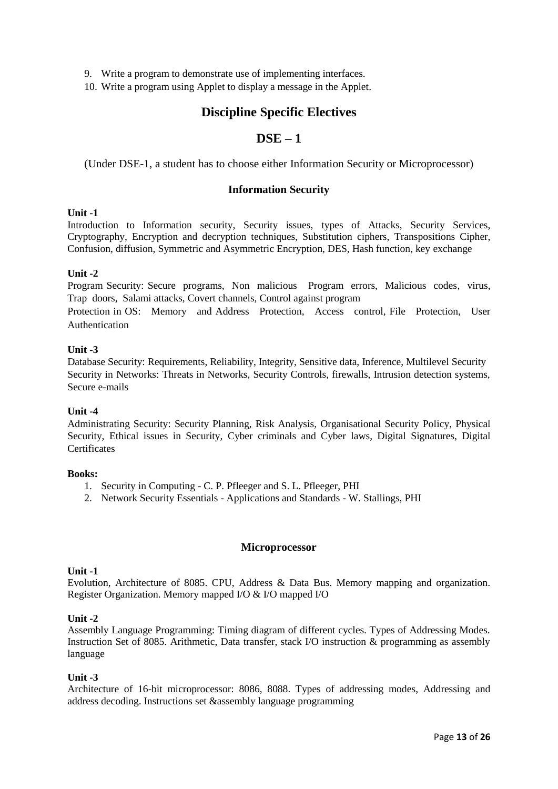- 9. Write a program to demonstrate use of implementing interfaces.
- 10. Write a program using Applet to display a message in the Applet.

# **Discipline Specific Electives**

# **DSE – 1**

(Under DSE-1, a student has to choose either Information Security or Microprocessor)

## **Information Security**

### **Unit -1**

Introduction to Information security, Security issues, types of Attacks, Security Services, Cryptography, Encryption and decryption techniques, Substitution ciphers, Transpositions Cipher, Confusion, diffusion, Symmetric and Asymmetric Encryption, DES, Hash function, key exchange

### **Unit -2**

Program Security: Secure programs, Non malicious Program errors, Malicious codes, virus, Trap doors, Salami attacks, Covert channels, Control against program

Protection in OS: Memory and Address Protection, Access control, File Protection, User Authentication

#### **Unit -3**

Database Security: Requirements, Reliability, Integrity, Sensitive data, Inference, Multilevel Security Security in Networks: Threats in Networks, Security Controls, firewalls, Intrusion detection systems, Secure e-mails

### **Unit -4**

Administrating Security: Security Planning, Risk Analysis, Organisational Security Policy, Physical Security, Ethical issues in Security, Cyber criminals and Cyber laws, Digital Signatures, Digital **Certificates** 

#### **Books:**

- 1. Security in Computing C. P. Pfleeger and S. L. Pfleeger, PHI
- 2. Network Security Essentials Applications and Standards W. Stallings, PHI

#### **Microprocessor**

#### **Unit -1**

Evolution, Architecture of 8085. CPU, Address & Data Bus. Memory mapping and organization. Register Organization. Memory mapped I/O & I/O mapped I/O

### **Unit -2**

Assembly Language Programming: Timing diagram of different cycles. Types of Addressing Modes. Instruction Set of 8085. Arithmetic, Data transfer, stack I/O instruction & programming as assembly language

### **Unit -3**

Architecture of 16-bit microprocessor: 8086, 8088. Types of addressing modes, Addressing and address decoding. Instructions set &assembly language programming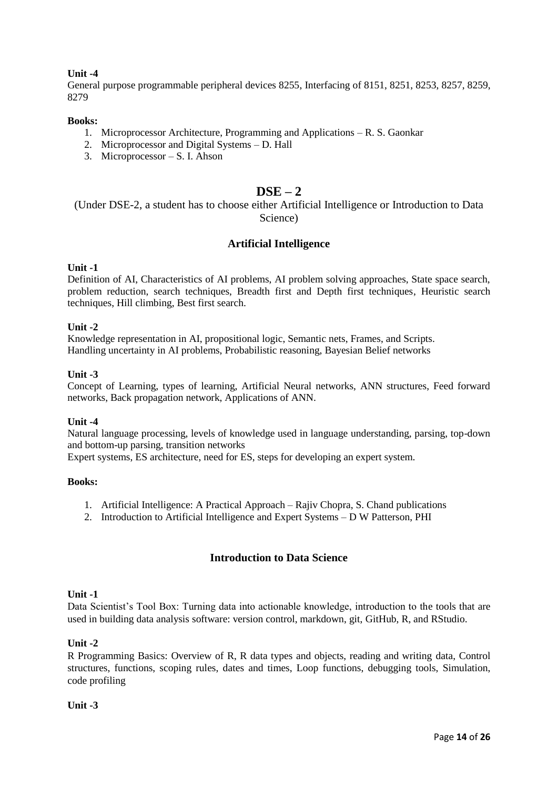General purpose programmable peripheral devices 8255, Interfacing of 8151, 8251, 8253, 8257, 8259, 8279

#### **Books:**

- 1. Microprocessor Architecture, Programming and Applications R. S. Gaonkar
- 2. Microprocessor and Digital Systems D. Hall
- 3. Microprocessor S. I. Ahson

## **DSE – 2**

(Under DSE-2, a student has to choose either Artificial Intelligence or Introduction to Data Science)

## **Artificial Intelligence**

### **Unit -1**

Definition of AI, Characteristics of AI problems, AI problem solving approaches, State space search, problem reduction, search techniques, Breadth first and Depth first techniques, Heuristic search techniques, Hill climbing, Best first search.

### **Unit -2**

Knowledge representation in AI, propositional logic, Semantic nets, Frames, and Scripts. Handling uncertainty in AI problems, Probabilistic reasoning, Bayesian Belief networks

#### **Unit -3**

Concept of Learning, types of learning, Artificial Neural networks, ANN structures, Feed forward networks, Back propagation network, Applications of ANN.

### **Unit -4**

Natural language processing, levels of knowledge used in language understanding, parsing, top-down and bottom-up parsing, transition networks

Expert systems, ES architecture, need for ES, steps for developing an expert system.

#### **Books:**

- 1. Artificial Intelligence: A Practical Approach Rajiv Chopra, S. Chand publications
- 2. Introduction to Artificial Intelligence and Expert Systems D W Patterson, PHI

## **Introduction to Data Science**

### **Unit -1**

Data Scientist's Tool Box: Turning data into actionable knowledge, introduction to the tools that are used in building data analysis software: version control, markdown, git, GitHub, R, and RStudio.

### **Unit -2**

R Programming Basics: Overview of R, R data types and objects, reading and writing data, Control structures, functions, scoping rules, dates and times, Loop functions, debugging tools, Simulation, code profiling

#### **Unit -3**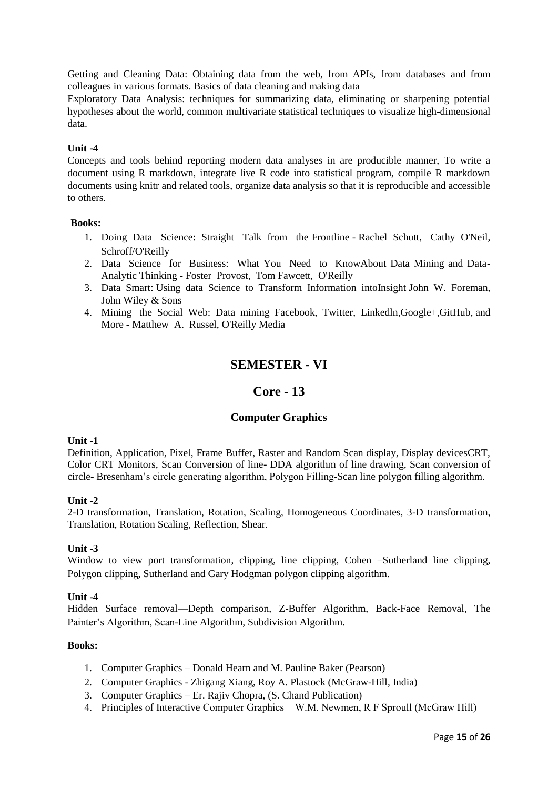Getting and Cleaning Data: Obtaining data from the web, from APIs, from databases and from colleagues in various formats. Basics of data cleaning and making data

Exploratory Data Analysis: techniques for summarizing data, eliminating or sharpening potential hypotheses about the world, common multivariate statistical techniques to visualize high-dimensional data.

### **Unit -4**

Concepts and tools behind reporting modern data analyses in are producible manner, To write a document using R markdown, integrate live R code into statistical program, compile R markdown documents using knitr and related tools, organize data analysis so that it is reproducible and accessible to others.

### **Books:**

- 1. Doing Data Science: Straight Talk from the Frontline Rachel Schutt, Cathy O'Neil, Schroff/O'Reilly
- 2. Data Science for Business: What You Need to KnowAbout Data Mining and Data-Analytic Thinking - Foster Provost, Tom Fawcett, O'Reilly
- 3. Data Smart: Using data Science to Transform Information intoInsight John W. Foreman, John Wiley & Sons
- 4. Mining the Social Web: Data mining Facebook, Twitter, Linkedln,Google+,GitHub, and More - Matthew A. Russel, O'Reilly Media

# **SEMESTER - VI**

## **Core - 13**

### **Computer Graphics**

### **Unit -1**

Definition, Application, Pixel, Frame Buffer, Raster and Random Scan display, Display devicesCRT, Color CRT Monitors, Scan Conversion of line- DDA algorithm of line drawing, Scan conversion of circle- Bresenham's circle generating algorithm, Polygon Filling-Scan line polygon filling algorithm.

### **Unit -2**

2-D transformation, Translation, Rotation, Scaling, Homogeneous Coordinates, 3-D transformation, Translation, Rotation Scaling, Reflection, Shear.

### **Unit -3**

Window to view port transformation, clipping, line clipping, Cohen –Sutherland line clipping, Polygon clipping, Sutherland and Gary Hodgman polygon clipping algorithm.

### **Unit -4**

Hidden Surface removal—Depth comparison, Z-Buffer Algorithm, Back-Face Removal, The Painter's Algorithm, Scan-Line Algorithm, Subdivision Algorithm.

- 1. Computer Graphics Donald Hearn and M. Pauline Baker (Pearson)
- 2. Computer Graphics Zhigang Xiang, Roy A. Plastock (McGraw-Hill, India)
- 3. Computer Graphics Er. Rajiv Chopra, (S. Chand Publication)
- 4. Principles of Interactive Computer Graphics − W.M. Newmen, R F Sproull (McGraw Hill)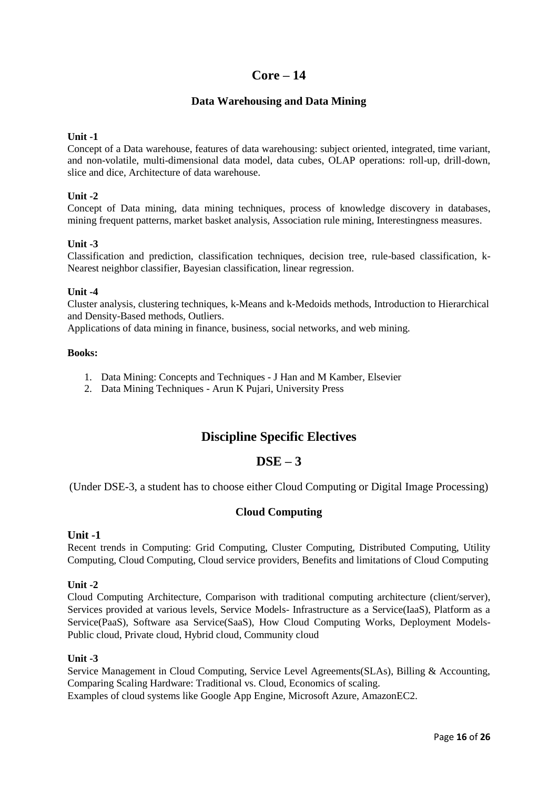# **Core – 14**

## **Data Warehousing and Data Mining**

## **Unit -1**

Concept of a Data warehouse, features of data warehousing: subject oriented, integrated, time variant, and non-volatile, multi-dimensional data model, data cubes, OLAP operations: roll-up, drill-down, slice and dice, Architecture of data warehouse.

## **Unit -2**

Concept of Data mining, data mining techniques, process of knowledge discovery in databases, mining frequent patterns, market basket analysis, Association rule mining, Interestingness measures.

## **Unit -3**

Classification and prediction, classification techniques, decision tree, rule-based classification, k-Nearest neighbor classifier, Bayesian classification, linear regression.

### **Unit -4**

Cluster analysis, clustering techniques, k-Means and k-Medoids methods, Introduction to Hierarchical and Density-Based methods, Outliers.

Applications of data mining in finance, business, social networks, and web mining.

#### **Books:**

- 1. Data Mining: Concepts and Techniques J Han and M Kamber, Elsevier
- 2. Data Mining Techniques Arun K Pujari, University Press

# **Discipline Specific Electives**

# **DSE – 3**

(Under DSE-3, a student has to choose either Cloud Computing or Digital Image Processing)

## **Cloud Computing**

### **Unit -1**

Recent trends in Computing: Grid Computing, Cluster Computing, Distributed Computing, Utility Computing, Cloud Computing, Cloud service providers, Benefits and limitations of Cloud Computing

### **Unit -2**

Cloud Computing Architecture, Comparison with traditional computing architecture (client/server), Services provided at various levels, Service Models- Infrastructure as a Service(IaaS), Platform as a Service(PaaS), Software asa Service(SaaS), How Cloud Computing Works, Deployment Models-Public cloud, Private cloud, Hybrid cloud, Community cloud

### **Unit -3**

Service Management in Cloud Computing, Service Level Agreements(SLAs), Billing & Accounting, Comparing Scaling Hardware: Traditional vs. Cloud, Economics of scaling. Examples of cloud systems like Google App Engine, Microsoft Azure, AmazonEC2.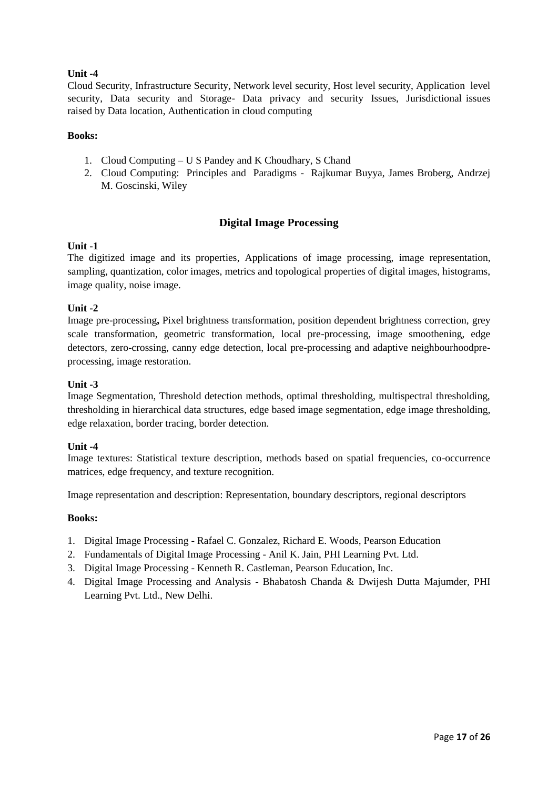Cloud Security, Infrastructure Security, Network level security, Host level security, Application level security, Data security and Storage- Data privacy and security Issues, Jurisdictional issues raised by Data location, Authentication in cloud computing

### **Books:**

- 1. Cloud Computing U S Pandey and K Choudhary, S Chand
- 2. Cloud Computing: Principles and Paradigms Rajkumar Buyya, James Broberg, Andrzej M. Goscinski, Wiley

## **Digital Image Processing**

## **Unit -1**

The digitized image and its properties, Applications of image processing, image representation, sampling, quantization, color images, metrics and topological properties of digital images, histograms, image quality, noise image.

## **Unit -2**

Image pre-processing**,** Pixel brightness transformation, position dependent brightness correction, grey scale transformation, geometric transformation, local pre-processing, image smoothening, edge detectors, zero-crossing, canny edge detection, local pre-processing and adaptive neighbourhoodpreprocessing, image restoration.

### **Unit -3**

Image Segmentation, Threshold detection methods, optimal thresholding, multispectral thresholding, thresholding in hierarchical data structures, edge based image segmentation, edge image thresholding, edge relaxation, border tracing, border detection.

### **Unit -4**

Image textures: Statistical texture description, methods based on spatial frequencies, co-occurrence matrices, edge frequency, and texture recognition.

Image representation and description: Representation, boundary descriptors, regional descriptors

- 1. Digital Image Processing Rafael C. Gonzalez, Richard E. Woods, Pearson Education
- 2. Fundamentals of Digital Image Processing Anil K. Jain, PHI Learning Pvt. Ltd.
- 3. Digital Image Processing Kenneth R. Castleman, Pearson Education, Inc.
- 4. Digital Image Processing and Analysis Bhabatosh Chanda & Dwijesh Dutta Majumder, PHI Learning Pvt. Ltd., New Delhi.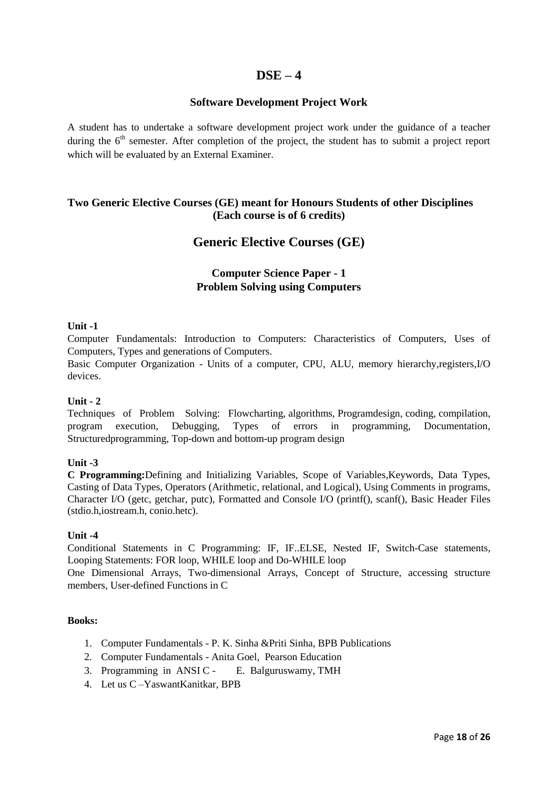# **DSE – 4**

## **Software Development Project Work**

A student has to undertake a software development project work under the guidance of a teacher during the  $6<sup>th</sup>$  semester. After completion of the project, the student has to submit a project report which will be evaluated by an External Examiner.

## **Two Generic Elective Courses (GE) meant for Honours Students of other Disciplines (Each course is of 6 credits)**

# **Generic Elective Courses (GE)**

# **Computer Science Paper - 1 Problem Solving using Computers**

## **Unit -1**

Computer Fundamentals: Introduction to Computers: Characteristics of Computers, Uses of Computers, Types and generations of Computers.

Basic Computer Organization - Units of a computer, CPU, ALU, memory hierarchy,registers,I/O devices.

### **Unit - 2**

Techniques of Problem Solving: Flowcharting, algorithms, Programdesign, coding, compilation, program execution, Debugging, Types of errors in programming, Documentation, Structuredprogramming, Top-down and bottom-up program design

### **Unit -3**

**C Programming:**Defining and Initializing Variables, Scope of Variables,Keywords, Data Types, Casting of Data Types, Operators (Arithmetic, relational, and Logical), Using Comments in programs, Character I/O (getc, getchar, putc), Formatted and Console I/O (printf(), scanf(), Basic Header Files (stdio.h,iostream.h, conio.hetc).

### **Unit -4**

Conditional Statements in C Programming: IF, IF..ELSE, Nested IF, Switch-Case statements, Looping Statements: FOR loop, WHILE loop and Do-WHILE loop

One Dimensional Arrays, Two-dimensional Arrays, Concept of Structure, accessing structure members, User-defined Functions in C

- 1. Computer Fundamentals P. K. Sinha &Priti Sinha, BPB Publications
- 2. Computer Fundamentals Anita Goel, Pearson Education
- 3. Programming in ANSI C E. Balguruswamy, TMH
- 4. Let us C –YaswantKanitkar, BPB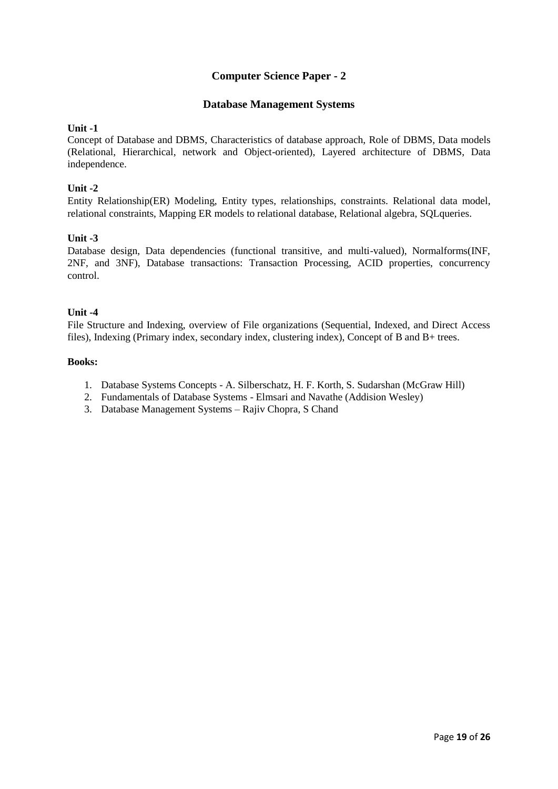# **Computer Science Paper - 2**

## **Database Management Systems**

### **Unit -1**

Concept of Database and DBMS, Characteristics of database approach, Role of DBMS, Data models (Relational, Hierarchical, network and Object-oriented), Layered architecture of DBMS, Data independence.

## **Unit -2**

Entity Relationship(ER) Modeling, Entity types, relationships, constraints. Relational data model, relational constraints, Mapping ER models to relational database, Relational algebra, SQLqueries.

## **Unit -3**

Database design, Data dependencies (functional transitive, and multi-valued), Normalforms(INF, 2NF, and 3NF), Database transactions: Transaction Processing, ACID properties, concurrency control.

## **Unit -4**

File Structure and Indexing, overview of File organizations (Sequential, Indexed, and Direct Access files), Indexing (Primary index, secondary index, clustering index), Concept of B and B+ trees.

- 1. Database Systems Concepts A. Silberschatz, H. F. Korth, S. Sudarshan (McGraw Hill)
- 2. Fundamentals of Database Systems Elmsari and Navathe (Addision Wesley)
- 3. Database Management Systems Rajiv Chopra, S Chand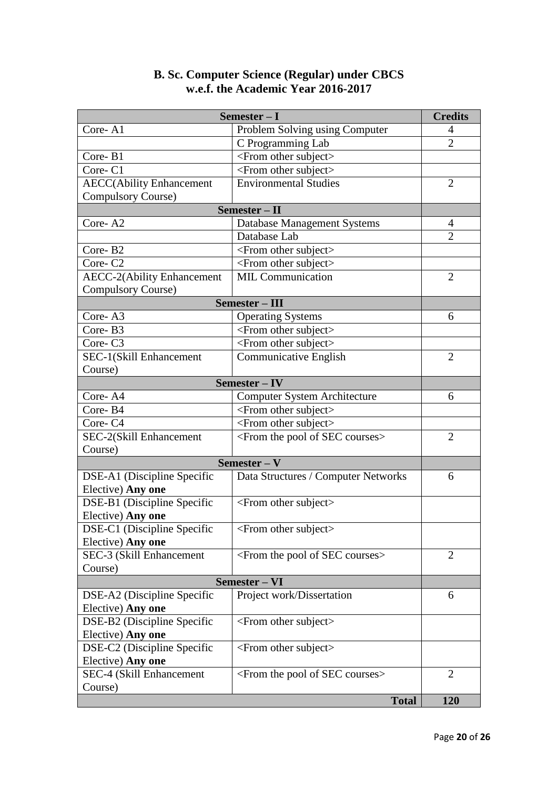# **B. Sc. Computer Science (Regular) under CBCS w.e.f. the Academic Year 2016-2017**

| Semester - I                        |                                                      |                |  |
|-------------------------------------|------------------------------------------------------|----------------|--|
| Core-A1                             | Problem Solving using Computer                       | 4              |  |
|                                     | C Programming Lab                                    | $\overline{2}$ |  |
| Core-B1                             | <from other="" subject=""></from>                    |                |  |
| Core-C1                             | $\le$ From other subject $>$                         |                |  |
| <b>AECC(Ability Enhancement</b>     | <b>Environmental Studies</b>                         | $\overline{2}$ |  |
| Compulsory Course)                  |                                                      |                |  |
| Semester - II                       |                                                      |                |  |
| Core-A <sub>2</sub>                 | Database Management Systems                          | 4              |  |
|                                     | Database Lab                                         | $\overline{2}$ |  |
| Core-B2                             | <from other="" subject=""></from>                    |                |  |
| Core-C <sub>2</sub>                 | <from other="" subject=""></from>                    |                |  |
| <b>AECC-2(Ability Enhancement</b>   | <b>MIL Communication</b>                             | $\overline{2}$ |  |
| <b>Compulsory Course)</b>           |                                                      |                |  |
| Semester - III                      |                                                      |                |  |
| Core-A3                             | <b>Operating Systems</b>                             | 6              |  |
| Core-B3                             | <from other="" subject=""></from>                    |                |  |
| Core-C3                             | <from other="" subject=""></from>                    |                |  |
| SEC-1(Skill Enhancement             | Communicative English                                | $\overline{2}$ |  |
| Course)                             |                                                      |                |  |
| Semester-IV                         |                                                      |                |  |
| Core-A4                             | <b>Computer System Architecture</b>                  | 6              |  |
| Core-B4                             | <from other="" subject=""></from>                    |                |  |
| Core-C4                             | <from other="" subject=""></from>                    |                |  |
| SEC-2(Skill Enhancement             | <from courses="" of="" pool="" sec="" the=""></from> | $\overline{2}$ |  |
| Course)                             |                                                      |                |  |
| Semester – $V$                      |                                                      |                |  |
| DSE-A1 (Discipline Specific         | Data Structures / Computer Networks                  | 6              |  |
| Elective) Any one                   |                                                      |                |  |
| DSE-B1 (Discipline Specific         | <from other="" subject=""></from>                    |                |  |
| Elective) Any one                   |                                                      |                |  |
| DSE-C1 (Discipline Specific         | <from other="" subject=""></from>                    |                |  |
| Elective) Any one                   |                                                      |                |  |
| SEC-3 (Skill Enhancement            | <from courses="" of="" pool="" sec="" the=""></from> | 2              |  |
| Course)                             |                                                      |                |  |
| Semester - VI                       |                                                      |                |  |
| DSE-A2 (Discipline Specific         | Project work/Dissertation                            | 6              |  |
| Elective) Any one                   |                                                      |                |  |
| DSE-B2 (Discipline Specific         | $\le$ From other subject $>$                         |                |  |
| Elective) Any one                   |                                                      |                |  |
| DSE-C2 (Discipline Specific         | <from other="" subject=""></from>                    |                |  |
| Elective) Any one                   |                                                      |                |  |
| SEC-4 (Skill Enhancement<br>Course) | <from courses="" of="" pool="" sec="" the=""></from> | 2              |  |
|                                     | <b>Total</b>                                         | 120            |  |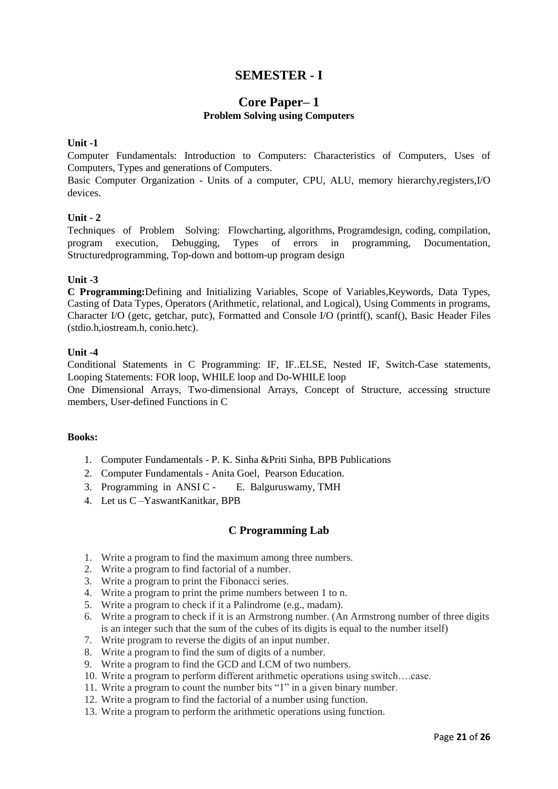# **SEMESTER - I**

## **Core Paper– 1 Problem Solving using Computers**

### **Unit -1**

Computer Fundamentals: Introduction to Computers: Characteristics of Computers, Uses of Computers, Types and generations of Computers.

Basic Computer Organization - Units of a computer, CPU, ALU, memory hierarchy,registers,I/O devices.

#### **Unit - 2**

Techniques of Problem Solving: Flowcharting, algorithms, Programdesign, coding, compilation, program execution, Debugging, Types of errors in programming, Documentation, Structuredprogramming, Top-down and bottom-up program design

#### **Unit -3**

**C Programming:**Defining and Initializing Variables, Scope of Variables,Keywords, Data Types, Casting of Data Types, Operators (Arithmetic, relational, and Logical), Using Comments in programs, Character I/O (getc, getchar, putc), Formatted and Console I/O (printf(), scanf(), Basic Header Files (stdio.h,iostream.h, conio.hetc).

#### **Unit -4**

Conditional Statements in C Programming: IF, IF..ELSE, Nested IF, Switch-Case statements, Looping Statements: FOR loop, WHILE loop and Do-WHILE loop

One Dimensional Arrays, Two-dimensional Arrays, Concept of Structure, accessing structure members, User-defined Functions in C

#### **Books:**

- 1. Computer Fundamentals P. K. Sinha &Priti Sinha, BPB Publications
- 2. Computer Fundamentals Anita Goel, Pearson Education.
- 3. Programming in ANSI C E. Balguruswamy, TMH
- 4. Let us C –YaswantKanitkar, BPB

## **C Programming Lab**

- 1. Write a program to find the maximum among three numbers.
- 2. Write a program to find factorial of a number.
- 3. Write a program to print the Fibonacci series.
- 4. Write a program to print the prime numbers between 1 to n.
- 5. Write a program to check if it a Palindrome (e.g., madam).
- 6. Write a program to check if it is an Armstrong number. (An Armstrong number of three digits is an integer such that the sum of the cubes of its digits is equal to the number itself)
- 7. Write program to reverse the digits of an input number.
- 8. Write a program to find the sum of digits of a number.
- 9. Write a program to find the GCD and LCM of two numbers.
- 10. Write a program to perform different arithmetic operations using switch….case.
- 11. Write a program to count the number bits "1" in a given binary number.
- 12. Write a program to find the factorial of a number using function.
- 13. Write a program to perform the arithmetic operations using function.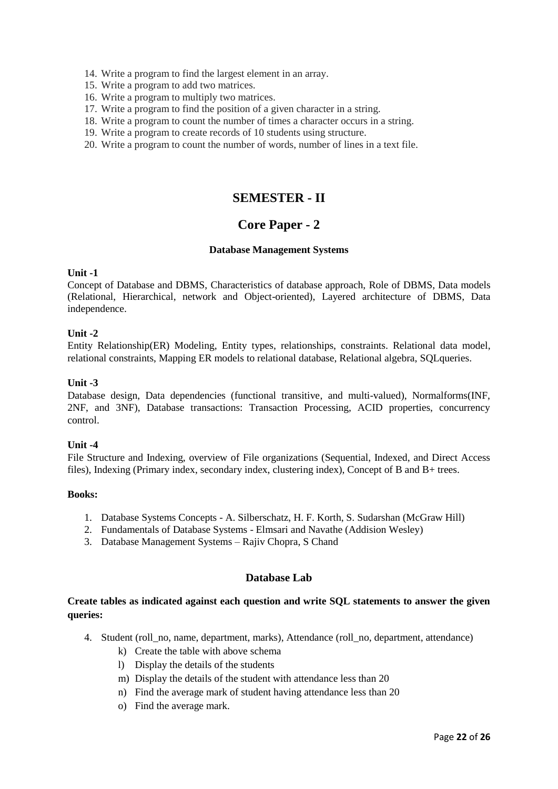- 14. Write a program to find the largest element in an array.
- 15. Write a program to add two matrices.
- 16. Write a program to multiply two matrices.
- 17. Write a program to find the position of a given character in a string.
- 18. Write a program to count the number of times a character occurs in a string.
- 19. Write a program to create records of 10 students using structure.
- 20. Write a program to count the number of words, number of lines in a text file.

# **SEMESTER - II**

# **Core Paper - 2**

#### **Database Management Systems**

#### **Unit -1**

Concept of Database and DBMS, Characteristics of database approach, Role of DBMS, Data models (Relational, Hierarchical, network and Object-oriented), Layered architecture of DBMS, Data independence.

### **Unit -2**

Entity Relationship(ER) Modeling, Entity types, relationships, constraints. Relational data model, relational constraints, Mapping ER models to relational database, Relational algebra, SQLqueries.

#### **Unit -3**

Database design, Data dependencies (functional transitive, and multi-valued), Normalforms(INF, 2NF, and 3NF), Database transactions: Transaction Processing, ACID properties, concurrency control.

### **Unit -4**

File Structure and Indexing, overview of File organizations (Sequential, Indexed, and Direct Access files), Indexing (Primary index, secondary index, clustering index), Concept of B and B+ trees.

#### **Books:**

- 1. Database Systems Concepts A. Silberschatz, H. F. Korth, S. Sudarshan (McGraw Hill)
- 2. Fundamentals of Database Systems Elmsari and Navathe (Addision Wesley)
- 3. Database Management Systems Rajiv Chopra, S Chand

## **Database Lab**

## **Create tables as indicated against each question and write SQL statements to answer the given queries:**

- 4. Student (roll\_no, name, department, marks), Attendance (roll\_no, department, attendance)
	- k) Create the table with above schema
	- l) Display the details of the students
	- m) Display the details of the student with attendance less than 20
	- n) Find the average mark of student having attendance less than 20
	- o) Find the average mark.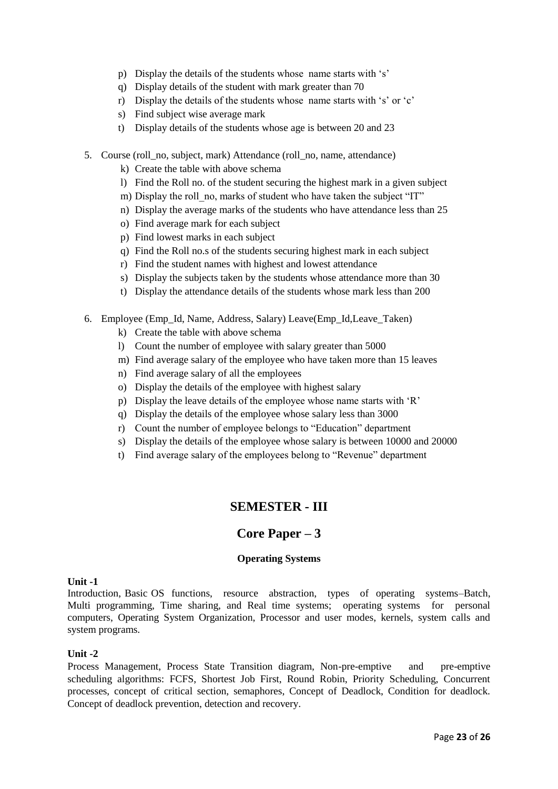- p) Display the details of the students whose name starts with 's'
- q) Display details of the student with mark greater than 70
- r) Display the details of the students whose name starts with 's' or 'c'
- s) Find subject wise average mark
- t) Display details of the students whose age is between 20 and 23
- 5. Course (roll\_no, subject, mark) Attendance (roll\_no, name, attendance)
	- k) Create the table with above schema
	- l) Find the Roll no. of the student securing the highest mark in a given subject
	- m) Display the roll no, marks of student who have taken the subject "IT"
	- n) Display the average marks of the students who have attendance less than 25
	- o) Find average mark for each subject
	- p) Find lowest marks in each subject
	- q) Find the Roll no.s of the students securing highest mark in each subject
	- r) Find the student names with highest and lowest attendance
	- s) Display the subjects taken by the students whose attendance more than 30
	- t) Display the attendance details of the students whose mark less than 200
- 6. Employee (Emp\_Id, Name, Address, Salary) Leave(Emp\_Id,Leave\_Taken)
	- k) Create the table with above schema
	- l) Count the number of employee with salary greater than 5000
	- m) Find average salary of the employee who have taken more than 15 leaves
	- n) Find average salary of all the employees
	- o) Display the details of the employee with highest salary
	- p) Display the leave details of the employee whose name starts with 'R'
	- q) Display the details of the employee whose salary less than 3000
	- r) Count the number of employee belongs to "Education" department
	- s) Display the details of the employee whose salary is between 10000 and 20000
	- t) Find average salary of the employees belong to "Revenue" department

# **SEMESTER - III**

# **Core Paper – 3**

### **Operating Systems**

### **Unit -1**

Introduction, Basic OS functions, resource abstraction, types of operating systems–Batch, Multi programming, Time sharing, and Real time systems; operating systems for personal computers, Operating System Organization, Processor and user modes, kernels, system calls and system programs.

### **Unit -2**

Process Management, Process State Transition diagram, Non-pre-emptive and pre-emptive scheduling algorithms: FCFS, Shortest Job First, Round Robin, Priority Scheduling, Concurrent processes, concept of critical section, semaphores, Concept of Deadlock, Condition for deadlock. Concept of deadlock prevention, detection and recovery.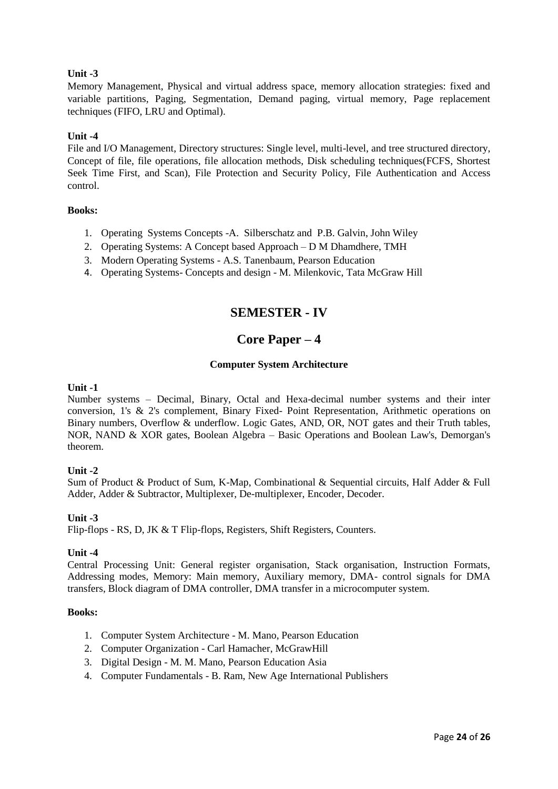Memory Management, Physical and virtual address space, memory allocation strategies: fixed and variable partitions, Paging, Segmentation, Demand paging, virtual memory, Page replacement techniques (FIFO, LRU and Optimal).

### **Unit -4**

File and I/O Management, Directory structures: Single level, multi-level, and tree structured directory, Concept of file, file operations, file allocation methods, Disk scheduling techniques(FCFS, Shortest Seek Time First, and Scan), File Protection and Security Policy, File Authentication and Access control.

### **Books:**

- 1. Operating Systems Concepts -A. Silberschatz and P.B. Galvin, John Wiley
- 2. Operating Systems: A Concept based Approach D M Dhamdhere, TMH
- 3. Modern Operating Systems A.S. Tanenbaum, Pearson Education
- 4. Operating Systems- Concepts and design M. Milenkovic, Tata McGraw Hill

# **SEMESTER - IV**

# **Core Paper – 4**

### **Computer System Architecture**

### **Unit -1**

Number systems – Decimal, Binary, Octal and Hexa-decimal number systems and their inter conversion, 1's & 2's complement, Binary Fixed- Point Representation, Arithmetic operations on Binary numbers, Overflow & underflow. Logic Gates, AND, OR, NOT gates and their Truth tables, NOR, NAND & XOR gates, Boolean Algebra – Basic Operations and Boolean Law's, Demorgan's theorem.

### **Unit -2**

Sum of Product & Product of Sum, K-Map, Combinational & Sequential circuits, Half Adder & Full Adder, Adder & Subtractor, Multiplexer, De-multiplexer, Encoder, Decoder.

### **Unit -3**

Flip-flops - RS, D, JK & T Flip-flops, Registers, Shift Registers, Counters.

### **Unit -4**

Central Processing Unit: General register organisation, Stack organisation, Instruction Formats, Addressing modes, Memory: Main memory, Auxiliary memory, DMA- control signals for DMA transfers, Block diagram of DMA controller, DMA transfer in a microcomputer system.

- 1. Computer System Architecture M. Mano, Pearson Education
- 2. Computer Organization Carl Hamacher, McGrawHill
- 3. Digital Design M. M. Mano, Pearson Education Asia
- 4. Computer Fundamentals B. Ram, New Age International Publishers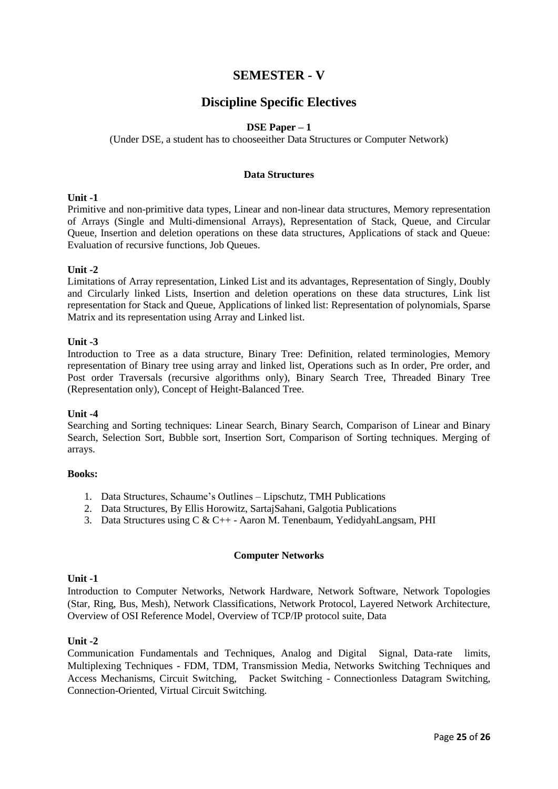# **SEMESTER - V**

# **Discipline Specific Electives**

### **DSE Paper – 1**

### (Under DSE, a student has to chooseeither Data Structures or Computer Network)

### **Data Structures**

#### **Unit -1**

Primitive and non-primitive data types, Linear and non-linear data structures, Memory representation of Arrays (Single and Multi-dimensional Arrays), Representation of Stack, Queue, and Circular Queue, Insertion and deletion operations on these data structures, Applications of stack and Queue: Evaluation of recursive functions, Job Queues.

#### **Unit -2**

Limitations of Array representation, Linked List and its advantages, Representation of Singly, Doubly and Circularly linked Lists, Insertion and deletion operations on these data structures, Link list representation for Stack and Queue, Applications of linked list: Representation of polynomials, Sparse Matrix and its representation using Array and Linked list.

#### **Unit -3**

Introduction to Tree as a data structure, Binary Tree: Definition, related terminologies, Memory representation of Binary tree using array and linked list, Operations such as In order, Pre order, and Post order Traversals (recursive algorithms only), Binary Search Tree, Threaded Binary Tree (Representation only), Concept of Height-Balanced Tree.

#### **Unit -4**

Searching and Sorting techniques: Linear Search, Binary Search, Comparison of Linear and Binary Search, Selection Sort, Bubble sort, Insertion Sort, Comparison of Sorting techniques. Merging of arrays.

#### **Books:**

- 1. Data Structures, Schaume's Outlines Lipschutz, TMH Publications
- 2. Data Structures, By Ellis Horowitz, SartajSahani, Galgotia Publications
- 3. Data Structures using C & C++ Aaron M. Tenenbaum, YedidyahLangsam, PHI

### **Computer Networks**

### **Unit -1**

Introduction to Computer Networks, Network Hardware, Network Software, Network Topologies (Star, Ring, Bus, Mesh), Network Classifications, Network Protocol, Layered Network Architecture, Overview of OSI Reference Model, Overview of TCP/IP protocol suite, Data

### **Unit -2**

Communication Fundamentals and Techniques, Analog and Digital Signal, Data-rate limits, Multiplexing Techniques - FDM, TDM, Transmission Media, Networks Switching Techniques and Access Mechanisms, Circuit Switching, Packet Switching - Connectionless Datagram Switching, Connection-Oriented, Virtual Circuit Switching.